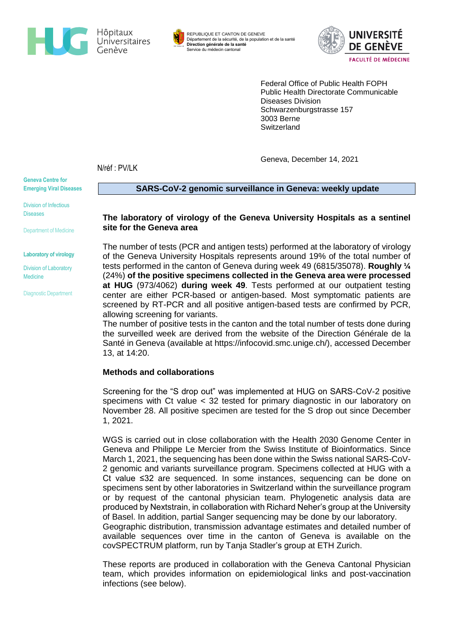



REPUBLIQUE ET CANTON DE GENEVE Département de la sécurité, de la population et de la santé **Direction générale de la santé** Service du médecin cantonal



Federal Office of Public Health FOPH Public Health Directorate Communicable Diseases Division Schwarzenburgstrasse 157 3003 Berne **Switzerland** 

Geneva, December 14, 2021

N/réf : PV/LK

**Geneva Centre for Emerging Viral Diseases**

Division of Infectious **Diseases** 

Department of Medicine

**Laboratory of virology**

Division of Laboratory **Medicine** 

Diagnostic Department

**SARS-CoV-2 genomic surveillance in Geneva: weekly update** 

**The laboratory of virology of the Geneva University Hospitals as a sentinel site for the Geneva area**

The number of tests (PCR and antigen tests) performed at the laboratory of virology of the Geneva University Hospitals represents around 19% of the total number of tests performed in the canton of Geneva during week 49 (6815/35078). **Roughly ¼** (24%) **of the positive specimens collected in the Geneva area were processed at HUG** (973/4062) **during week 49**. Tests performed at our outpatient testing center are either PCR-based or antigen-based. Most symptomatic patients are screened by RT-PCR and all positive antigen-based tests are confirmed by PCR, allowing screening for variants.

The number of positive tests in the canton and the total number of tests done during the surveilled week are derived from the website of the Direction Générale de la Santé in Geneva (available at [https://infocovid.smc.unige.ch/\)](https://infocovid.smc.unige.ch/), accessed December 13, at 14:20.

## **Methods and collaborations**

Screening for the "S drop out" was implemented at HUG on SARS-CoV-2 positive specimens with Ct value < 32 tested for primary diagnostic in our laboratory on November 28. All positive specimen are tested for the S drop out since December 1, 2021.

WGS is carried out in close collaboration with the Health 2030 Genome Center in Geneva and Philippe Le Mercier from the Swiss Institute of Bioinformatics. Since March 1, 2021, the sequencing has been done within the Swiss national SARS-CoV-2 genomic and variants surveillance program. Specimens collected at HUG with a Ct value ≤32 are sequenced. In some instances, sequencing can be done on specimens sent by other laboratories in Switzerland within the surveillance program or by request of the cantonal physician team. Phylogenetic analysis data are produced by Nextstrain, in collaboration with Richard Neher's group at the University of Basel. In addition, partial Sanger sequencing may be done by our laboratory.

Geographic distribution, transmission advantage estimates and detailed number of available sequences over time in the canton of Geneva is available on the covSPECTRUM platform, run by Tanja Stadler's group at ETH Zurich.

These reports are produced in collaboration with the Geneva Cantonal Physician team, which provides information on epidemiological links and post-vaccination infections (see below).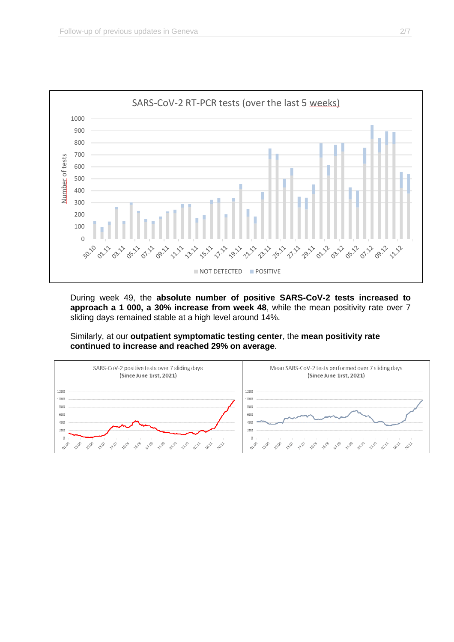

During week 49, the **absolute number of positive SARS-CoV-2 tests increased to approach a 1 000, a 30% increase from week 48**, while the mean positivity rate over 7 sliding days remained stable at a high level around 14%.

Similarly, at our **outpatient symptomatic testing center**, the **mean positivity rate continued to increase and reached 29% on average**.

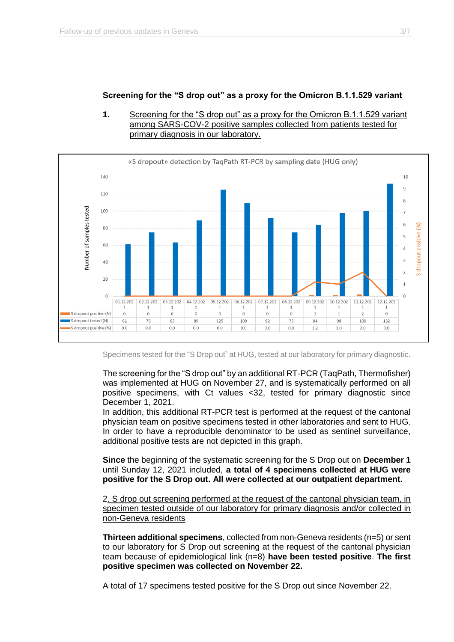# **Screening for the "S drop out" as a proxy for the Omicron B.1.1.529 variant**





Specimens tested for the "S Drop out" at HUG, tested at our laboratory for primary diagnostic.

The screening for the "S drop out" by an additional RT-PCR (TaqPath, Thermofisher) was implemented at HUG on November 27, and is systematically performed on all positive specimens, with Ct values <32, tested for primary diagnostic since December 1, 2021.

In addition, this additional RT-PCR test is performed at the request of the cantonal physician team on positive specimens tested in other laboratories and sent to HUG. In order to have a reproducible denominator to be used as sentinel surveillance, additional positive tests are not depicted in this graph.

**Since** the beginning of the systematic screening for the S Drop out on **December 1** until Sunday 12, 2021 included, **a total of 4 specimens collected at HUG were positive for the S Drop out. All were collected at our outpatient department.**

2. S drop out screening performed at the request of the cantonal physician team, in specimen tested outside of our laboratory for primary diagnosis and/or collected in non-Geneva residents

**Thirteen additional specimens**, collected from non-Geneva residents (n=5) or sent to our laboratory for S Drop out screening at the request of the cantonal physician team because of epidemiological link (n=8) **have been tested positive**. **The first positive specimen was collected on November 22.** 

A total of 17 specimens tested positive for the S Drop out since November 22.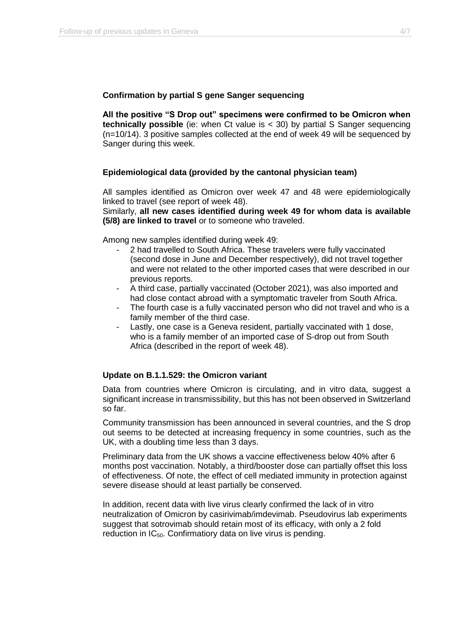### **Confirmation by partial S gene Sanger sequencing**

**All the positive "S Drop out" specimens were confirmed to be Omicron when technically possible** (ie: when Ct value is < 30) by partial S Sanger sequencing (n=10/14). 3 positive samples collected at the end of week 49 will be sequenced by Sanger during this week.

### **Epidemiological data (provided by the cantonal physician team)**

All samples identified as Omicron over week 47 and 48 were epidemiologically linked to travel (see report of week 48).

Similarly, **all new cases identified during week 49 for whom data is available (5/8) are linked to travel** or to someone who traveled.

Among new samples identified during week 49:

- 2 had travelled to South Africa. These travelers were fully vaccinated (second dose in June and December respectively), did not travel together and were not related to the other imported cases that were described in our previous reports.
- A third case, partially vaccinated (October 2021), was also imported and had close contact abroad with a symptomatic traveler from South Africa.
- The fourth case is a fully vaccinated person who did not travel and who is a family member of the third case.
- Lastly, one case is a Geneva resident, partially vaccinated with 1 dose, who is a family member of an imported case of S-drop out from South Africa (described in the report of week 48).

#### **Update on B.1.1.529: the Omicron variant**

Data from countries where Omicron is circulating, and in vitro data, suggest a significant increase in transmissibility, but this has not been observed in Switzerland so far.

Community transmission has been announced in several countries, and the S drop out seems to be detected at increasing frequency in some countries, such as the UK, with a doubling time less than 3 days.

Preliminary data from the UK shows a vaccine effectiveness below 40% after 6 months post vaccination. Notably, a third/booster dose can partially offset this loss of effectiveness. Of note, the effect of cell mediated immunity in protection against severe disease should at least partially be conserved.

In addition, recent data with live virus clearly confirmed the lack of in vitro neutralization of Omicron by casirivimab/imdevimab. Pseudovirus lab experiments suggest that sotrovimab should retain most of its efficacy, with only a 2 fold reduction in  $IC_{50}$ . Confirmatiory data on live virus is pending.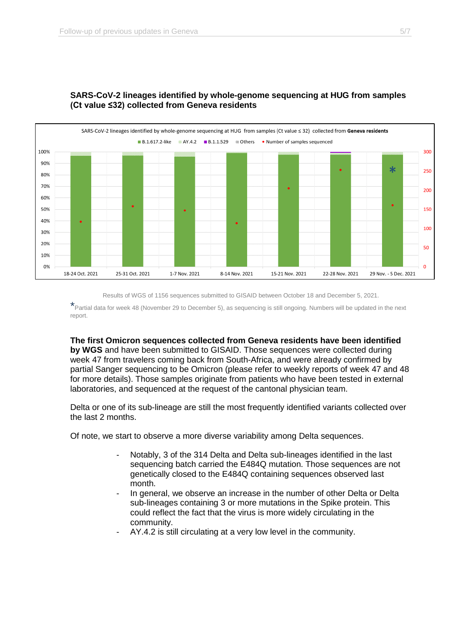

## **SARS-CoV-2 lineages identified by whole-genome sequencing at HUG from samples (Ct value ≤32) collected from Geneva residents**

Results of WGS of 1156 sequences submitted to GISAID between October 18 and December 5, 2021.

\*Partial data for week 48 (November 29 to December 5), as sequencing is still ongoing. Numbers will be updated in the next report.

**The first Omicron sequences collected from Geneva residents have been identified**

**by WGS** and have been submitted to GISAID. Those sequences were collected during week 47 from travelers coming back from South-Africa, and were already confirmed by partial Sanger sequencing to be Omicron (please refer to weekly reports of week 47 and 48 for more details). Those samples originate from patients who have been tested in external laboratories, and sequenced at the request of the cantonal physician team.

Delta or one of its sub-lineage are still the most frequently identified variants collected over the last 2 months.

Of note, we start to observe a more diverse variability among Delta sequences.

- Notably, 3 of the 314 Delta and Delta sub-lineages identified in the last sequencing batch carried the E484Q mutation. Those sequences are not genetically closed to the E484Q containing sequences observed last month.
- In general, we observe an increase in the number of other Delta or Delta sub-lineages containing 3 or more mutations in the Spike protein. This could reflect the fact that the virus is more widely circulating in the community.
- AY.4.2 is still circulating at a very low level in the community.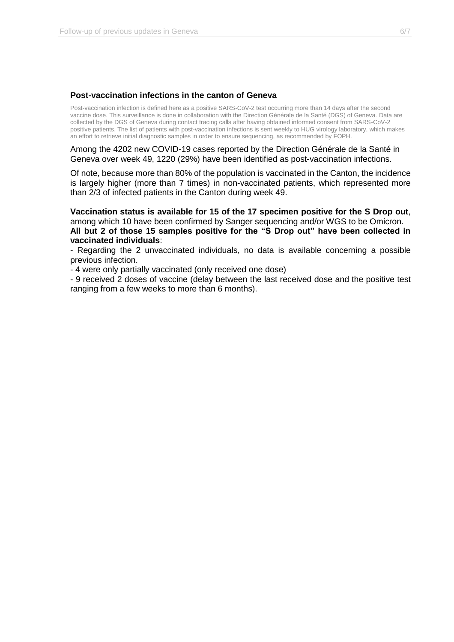#### **Post-vaccination infections in the canton of Geneva**

Post-vaccination infection is defined here as a positive SARS-CoV-2 test occurring more than 14 days after the second vaccine dose. This surveillance is done in collaboration with the Direction Générale de la Santé (DGS) of Geneva. Data are collected by the DGS of Geneva during contact tracing calls after having obtained informed consent from SARS-CoV-2 positive patients. The list of patients with post-vaccination infections is sent weekly to HUG virology laboratory, which makes an effort to retrieve initial diagnostic samples in order to ensure sequencing, as recommended by FOPH.

Among the 4202 new COVID-19 cases reported by the Direction Générale de la Santé in Geneva over week 49, 1220 (29%) have been identified as post-vaccination infections.

Of note, because more than 80% of the population is vaccinated in the Canton, the incidence is largely higher (more than 7 times) in non-vaccinated patients, which represented more than 2/3 of infected patients in the Canton during week 49.

**Vaccination status is available for 15 of the 17 specimen positive for the S Drop out**, among which 10 have been confirmed by Sanger sequencing and/or WGS to be Omicron. **All but 2 of those 15 samples positive for the "S Drop out" have been collected in vaccinated individuals**:

- Regarding the 2 unvaccinated individuals, no data is available concerning a possible previous infection.

- 4 were only partially vaccinated (only received one dose)

- 9 received 2 doses of vaccine (delay between the last received dose and the positive test ranging from a few weeks to more than 6 months).